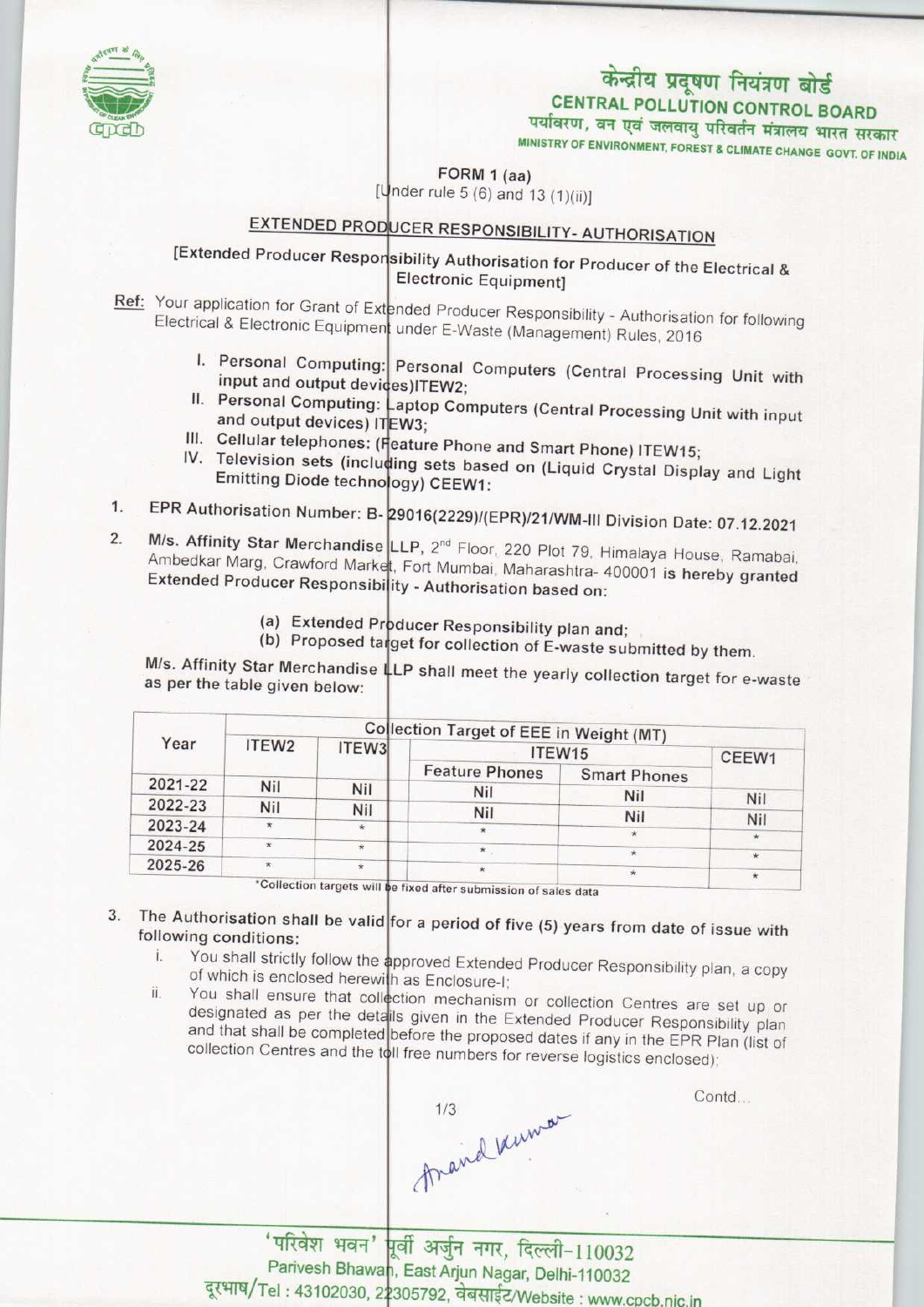

# पर्यावरण, वन एवं जलवायु परिवर्तन मंत्रालय भारत सरकार<br>MINISTRY OF ENVIRONMENT, FOREST & CLIMATE CHANGE GOVT. OF INDIA केन्द्रीय प्रदूषण नियंत्रण बोर्ड<br>CENTRAL POLLUTION CONTROL BOARD

FORM 1 (aa)  $[Under rule 5 (6) and 13 (1)(ii)]$ 

## EXTENDED PRODUCER RESPONSIBILITY- AUTHORISATION

**Extended Producer Responsibility Authorisation for Producer of the Electrical &** Electronic Equipment]

Ref: Your application for Grant of Extended Producer Responsibility - Authorisation for following Electrical & Electronic Equipment under E-Waste (Management) Rules, 2016

- I. Personal Computing: Personal Computers (Central Processing Unit with input and output devices)ITEW2; input and output devices) TEW2;<br>II. Personal Computing: Laptop Computers (Central Processing Unit with input
- and output devices) ITEW3;
- III. Cellular telephones: (Feature Phone and Smart Phone) ITEW15;
- IV. Television sets (including sets based on (Liquid Crystal Display and Light Emitting Diode technology) CEEW1:
- 1. EPR Authorisation Number: B-29016(2229)/(EPR)/21/WM-III Division Date: 07.12.2021
- 2. M/s. Affinity Star Merchandise LLP, 2<sup>nd</sup> Floor, 220 Plot 79, Himalaya House, Ramabai, Ambedkar Marg, Crawford Market, Fort Mumbai, Maharashtra- 400001 is hereby granted Extended Producer Responsibility - Authorisation based on:
	- (a) Extended Producer Responsibility plan and:
	- (a) Extended Producer Responsibility plan and;<br>(b) Proposed target for collection of E-waste submitted by them.

M/s. Affinity Star Merchandise LLP shall meet the yearly collection target for e-waste as per the table given below:

| Year    | Collection Target of EEE in Weight (MT) |         |                       |                     |            |
|---------|-----------------------------------------|---------|-----------------------|---------------------|------------|
|         | ITEW <sub>2</sub>                       | ITEW3   | ITEW15                |                     | CEEW1      |
|         |                                         |         | <b>Feature Phones</b> | <b>Smart Phones</b> |            |
| 2021-22 | Nil                                     | Nil     | <b>Nil</b>            | Nil                 |            |
| 2022-23 | Nil                                     | Nil     | Nil                   |                     | <b>Nil</b> |
| 2023-24 | $\star$                                 | $\star$ |                       | Nil                 | Nil        |
| 2024-25 | nie.                                    | $\star$ |                       |                     |            |
| 2025-26 |                                         | $\star$ | $\star$               |                     | $*$        |

\*Collection targets will be fixed after submission of sales data

## 3. The Authorisation shall be valid for a period of five (5) years from date of issue with following conditions:<br>i. You shall strictly follow the approved Extended Producer Responsibility plan, a copy

- i. of which is enclosed herewith as Enclosure-I;
- You shall ensure that collection mechanism or collection Centres are set up or ii. designated as per the details given in the Extended Producer Responsibility plan and that shall be completed before the proposed dates if any in the EPR Plan (list of collection Centres and the toll free numbers for reverse logistics enclosed);

Traind know

Contd...

'परिवेश भवन' पूर्वी अर्जुन नगर, दिल्ली-110032 Parivesh Bhawan, East Arjun Nagar, Delhi-110032 दूरभाष/Tel: 43102030, 22305792, वेबसाईट/Website: www.cpcb.nic.in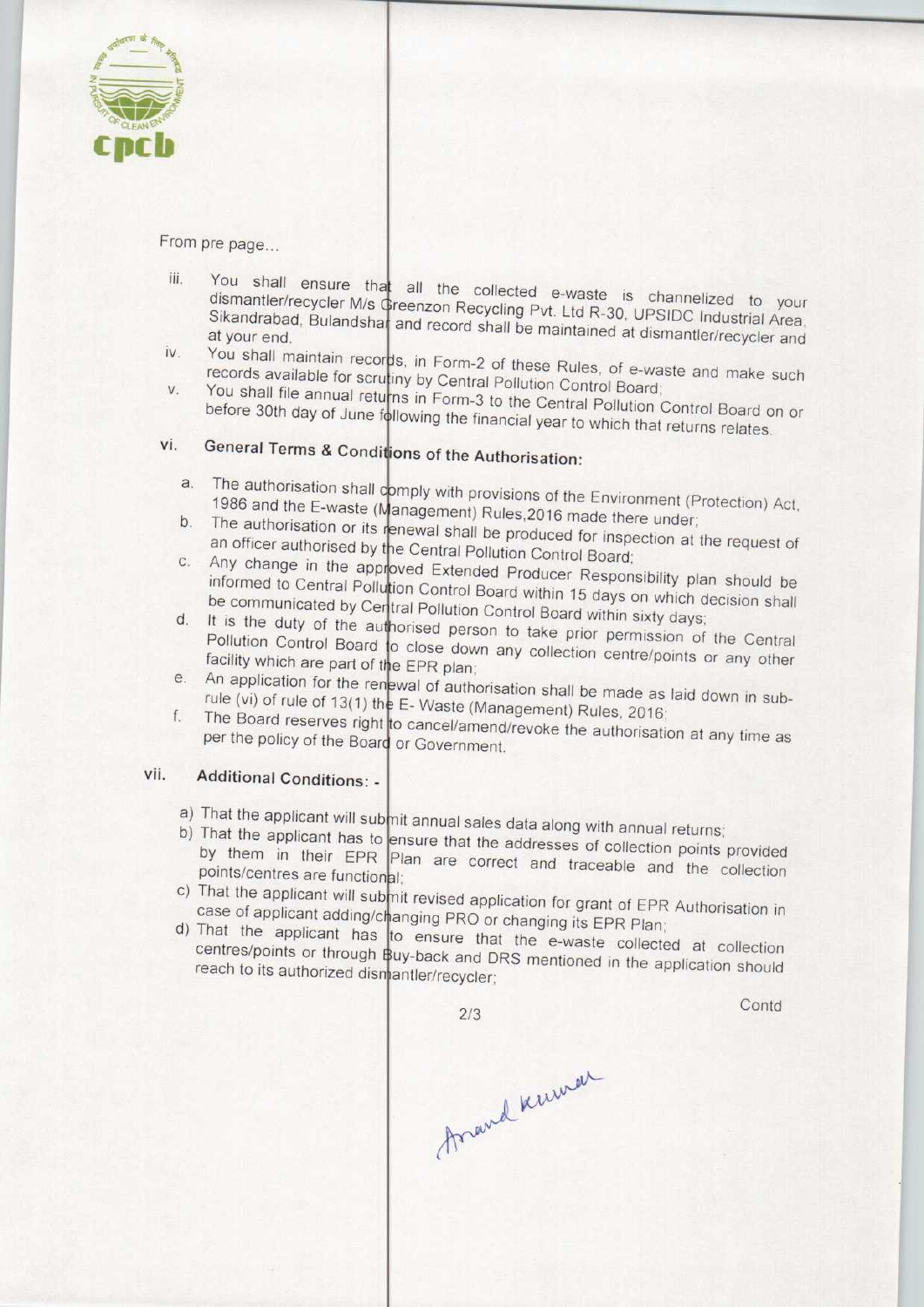

From pre page...

- iii. You shall ensure that all the collected e-waste is channelized to your channelized to your channelized to your channelized to your channelized to your channelized to your channelized to your channelized to your channe dismantler/recycler M/s Greenzon Recycling Pvt. Ltd R-30. Upside industrial Area, vous dismantler/recycler M/s Greenzon Recycling Pvt. Ltd R-30, UPSIDC Industrial Area, Sikandrabad, Bulandshar and record shall be maintained at dismantler/recycler and at your end.<br>iv. You shall maintain records, in Form-2 of these Bulgarian such a waster and intervention and maintain records.
- records available for scrutiny by Central Pollution Control Board; Board; Control Board; Control Board; Control Board; Board; Control Board; Control Board; Control Board; Control Board; Control Board; Control Board; Contro records available for scrutiny by Central Pollution Control Board;<br>V. You shall file annual returns in Form-3 to the Central Pollution Control of the Control Board
- before 30th day of June following the financial year to Whiteholm Control Board before 30th day of June following the financial year to which that returns relates.<br>vi. General Terms & Conditions of the Authorisation:

- increased terms at Conditions of the Authorisation:<br>
1986 and the E-waste (Management) Bulge 2016 and the Environment (Protection) Act the dationsation shall comply with provisions of the Environment (F<br>1986 and the E-waste (Management) Rules,2016 made there under<br>b. The authorisation or its renewal shall be produced for inspection of
- The authorisation or its renewal shall be produced for inspection at the request of<br>an officer authorised by the Central Pollution Contral Beauty an officer authorised by the Central Pollution Control Board;
- c. Any change in the approved Extended Producer Responsibility plan should be<br>informed to approved Extended Producer Responsibility plan should be tion Control Board within 15 days on which docision shall be communicated by Central Pollution Control Board within 15 days on which informed to Central Polli be communicated by Central Pollution Control Board within sixty days;
- It is the duty of the authorised person to take prior permission of the Central<br>Pollution Control Board to close down any called is Pollution Control Board to close down any collection centre/points or any other<br>facility which are part of the FPR plan: facility which are part of the EPR plan; facility which are part of the EPR plan;<br>e. An application for the renewal of authorisation shall be made as laid down in sub-
- rule (vi) of rule of 13(1) the E-Waste (Management) Rules, 2016 e. An application for the reserved in the Reserves right<br>f. The Board reserves right
- The Board reserves right to cancel/amend/revoke the authorisation at any time as per the policy of the Board or Government

### vii. Additional Conditions: •

- a) That the applicant will submit annual sales data along with annual returns
- b) That the applicant will subjite annual sales data along with annual returns;<br>by them in their FRD ensure that the addresses of collection points provided by them in their EPR Plan are correct and traceable and the collection points/centres are functional;
- c) That the applicant will submit revised application for grant of FPR Authorisation in case of applicant adding/changing PRO or changing its EPR Plan
- d) That the applicant has to ensure that the e-waste collected at collection centres/points or through Buy-back and DRS mentioned in the application should reach to its authorized dismantler/recycler

2/3

**Contd** 

Arand Kuman